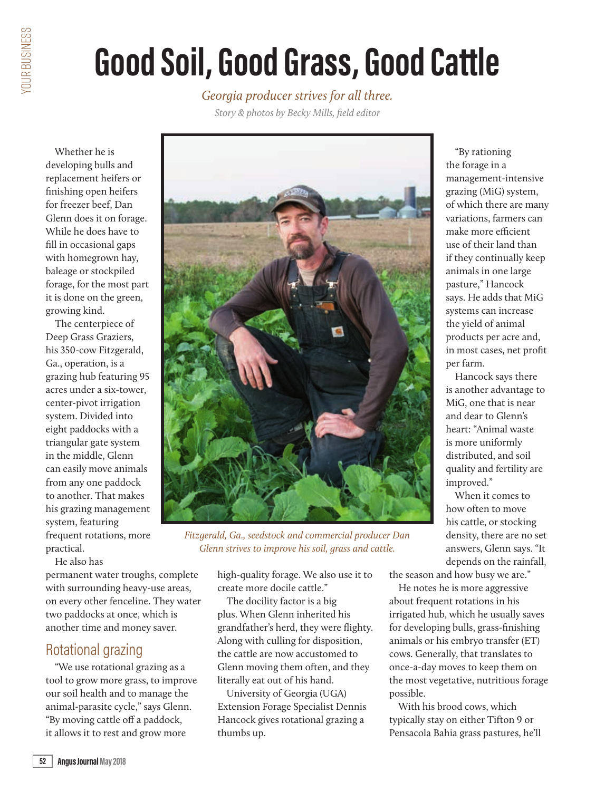# **Good Soil, Good Grass, Good Cattle**

*Georgia producer strives for all three.*

*Story & photos by Becky Mills, field editor*

Whether he is developing bulls and replacement heifers or finishing open heifers for freezer beef, Dan Glenn does it on forage. While he does have to fill in occasional gaps with homegrown hay, baleage or stockpiled forage, for the most part it is done on the green, growing kind.

The centerpiece of Deep Grass Graziers, his 350-cow Fitzgerald, Ga., operation, is a grazing hub featuring 95 acres under a six-tower, center-pivot irrigation system. Divided into eight paddocks with a triangular gate system in the middle, Glenn can easily move animals from any one paddock to another. That makes his grazing management system, featuring frequent rotations, more practical.

He also has

permanent water troughs, complete with surrounding heavy-use areas, on every other fenceline. They water two paddocks at once, which is another time and money saver.

#### Rotational grazing

"We use rotational grazing as a tool to grow more grass, to improve our soil health and to manage the animal-parasite cycle," says Glenn. "By moving cattle off a paddock, it allows it to rest and grow more



*Fitzgerald, Ga., seedstock and commercial producer Dan Glenn strives to improve his soil, grass and cattle.*

high-quality forage. We also use it to create more docile cattle."

The docility factor is a big plus. When Glenn inherited his grandfather's herd, they were flighty. Along with culling for disposition, the cattle are now accustomed to Glenn moving them often, and they literally eat out of his hand.

University of Georgia (UGA) Extension Forage Specialist Dennis Hancock gives rotational grazing a thumbs up.

"By rationing the forage in a management-intensive grazing (MiG) system, of which there are many variations, farmers can make more efficient use of their land than if they continually keep animals in one large pasture," Hancock says. He adds that MiG systems can increase the yield of animal products per acre and, in most cases, net profit per farm.

Hancock says there is another advantage to MiG, one that is near and dear to Glenn's heart: "Animal waste is more uniformly distributed, and soil quality and fertility are improved."

When it comes to how often to move his cattle, or stocking density, there are no set answers, Glenn says. "It depends on the rainfall,

the season and how busy we are."

He notes he is more aggressive about frequent rotations in his irrigated hub, which he usually saves for developing bulls, grass-finishing animals or his embryo transfer (ET) cows. Generally, that translates to once-a-day moves to keep them on the most vegetative, nutritious forage possible.

With his brood cows, which typically stay on either Tifton 9 or Pensacola Bahia grass pastures, he'll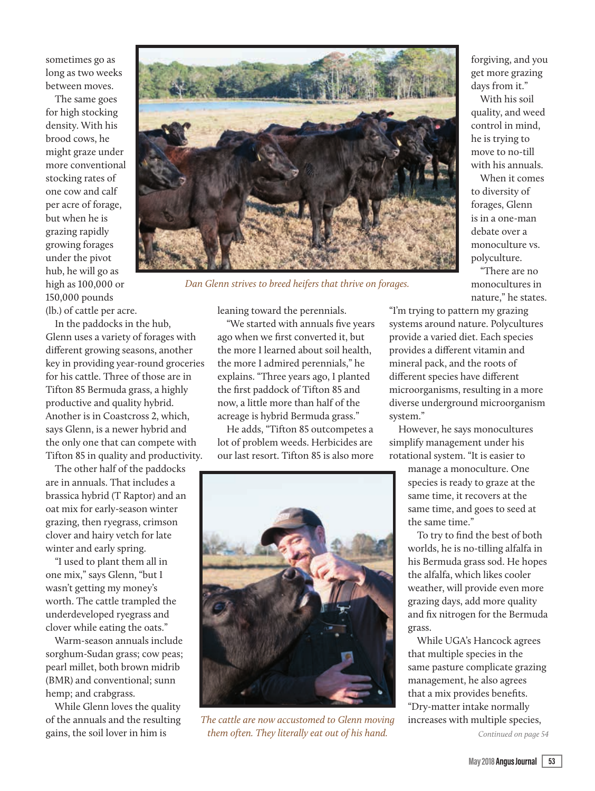sometimes go as long as two weeks between moves.

The same goes for high stocking density. With his brood cows, he might graze under more conventional stocking rates of one cow and calf per acre of forage, but when he is grazing rapidly growing forages under the pivot hub, he will go as high as 100,000 or 150,000 pounds (lb.) of cattle per acre.



*Dan Glenn strives to breed heifers that thrive on forages.*

In the paddocks in the hub,

Glenn uses a variety of forages with different growing seasons, another key in providing year-round groceries for his cattle. Three of those are in Tifton 85 Bermuda grass, a highly productive and quality hybrid. Another is in Coastcross 2, which, says Glenn, is a newer hybrid and the only one that can compete with Tifton 85 in quality and productivity.

The other half of the paddocks are in annuals. That includes a brassica hybrid (T Raptor) and an oat mix for early-season winter grazing, then ryegrass, crimson clover and hairy vetch for late winter and early spring.

"I used to plant them all in one mix," says Glenn, "but I wasn't getting my money's worth. The cattle trampled the underdeveloped ryegrass and clover while eating the oats."

Warm-season annuals include sorghum-Sudan grass; cow peas; pearl millet, both brown midrib (BMR) and conventional; sunn hemp; and crabgrass.

While Glenn loves the quality of the annuals and the resulting gains, the soil lover in him is

leaning toward the perennials.

"We started with annuals five years ago when we first converted it, but the more I learned about soil health, the more I admired perennials," he explains. "Three years ago, I planted the first paddock of Tifton 85 and now, a little more than half of the acreage is hybrid Bermuda grass."

He adds, "Tifton 85 outcompetes a lot of problem weeds. Herbicides are our last resort. Tifton 85 is also more



*The cattle are now accustomed to Glenn moving them often. They literally eat out of his hand.*

forgiving, and you get more grazing days from it."

With his soil quality, and weed control in mind, he is trying to move to no-till with his annuals.

When it comes to diversity of forages, Glenn is in a one-man debate over a monoculture vs. polyculture.

"There are no monocultures in nature," he states.

"I'm trying to pattern my grazing systems around nature. Polycultures provide a varied diet. Each species provides a different vitamin and mineral pack, and the roots of different species have different microorganisms, resulting in a more diverse underground microorganism system."

However, he says monocultures simplify management under his rotational system. "It is easier to

> manage a monoculture. One species is ready to graze at the same time, it recovers at the same time, and goes to seed at the same time."

To try to find the best of both worlds, he is no-tilling alfalfa in his Bermuda grass sod. He hopes the alfalfa, which likes cooler weather, will provide even more grazing days, add more quality and fix nitrogen for the Bermuda grass.

While UGA's Hancock agrees that multiple species in the same pasture complicate grazing management, he also agrees that a mix provides benefits. "Dry-matter intake normally increases with multiple species,

*Continued on page 54*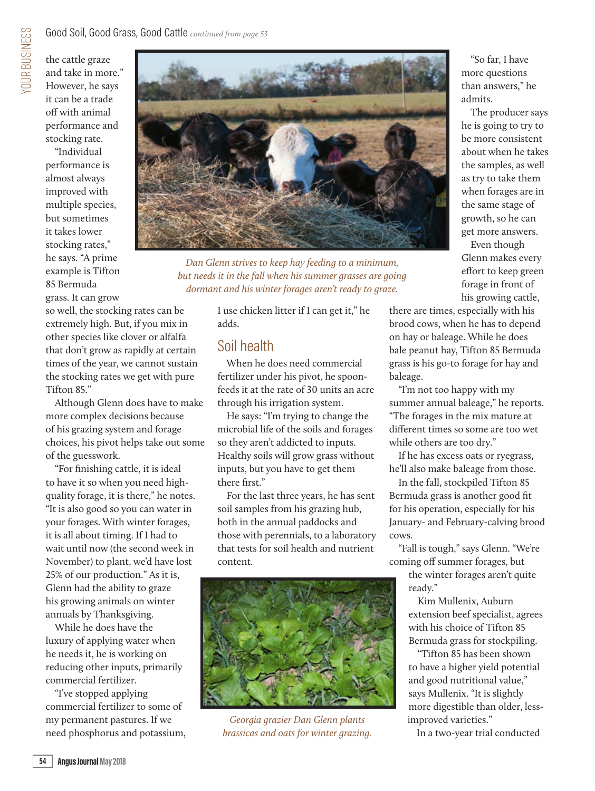"Individual performance is almost always improved with multiple species, but sometimes it takes lower stocking rates," he says. "A prime example is Tifton 85 Bermuda

grass. It can grow so well, the stocking rates can be

extremely high. But, if you mix in other species like clover or alfalfa that don't grow as rapidly at certain times of the year, we cannot sustain the stocking rates we get with pure Tifton 85."

Although Glenn does have to make more complex decisions because of his grazing system and forage choices, his pivot helps take out some of the guesswork.

"For finishing cattle, it is ideal to have it so when you need highquality forage, it is there," he notes. "It is also good so you can water in your forages. With winter forages, it is all about timing. If I had to wait until now (the second week in November) to plant, we'd have lost 25% of our production." As it is, Glenn had the ability to graze his growing animals on winter annuals by Thanksgiving.

While he does have the luxury of applying water when he needs it, he is working on reducing other inputs, primarily commercial fertilizer.

"I've stopped applying commercial fertilizer to some of my permanent pastures. If we need phosphorus and potassium,



*Dan Glenn strives to keep hay feeding to a minimum, but needs it in the fall when his summer grasses are going dormant and his winter forages aren't ready to graze.*

I use chicken litter if I can get it," he adds.

#### Soil health

When he does need commercial fertilizer under his pivot, he spoonfeeds it at the rate of 30 units an acre through his irrigation system.

He says: "I'm trying to change the microbial life of the soils and forages so they aren't addicted to inputs. Healthy soils will grow grass without inputs, but you have to get them there first."

For the last three years, he has sent soil samples from his grazing hub, both in the annual paddocks and those with perennials, to a laboratory that tests for soil health and nutrient content.



*Georgia grazier Dan Glenn plants brassicas and oats for winter grazing.*

"So far, I have more questions than answers," he admits.

The producer says he is going to try to be more consistent about when he takes the samples, as well as try to take them when forages are in the same stage of growth, so he can get more answers.

Even though Glenn makes every effort to keep green forage in front of his growing cattle,

there are times, especially with his brood cows, when he has to depend on hay or baleage. While he does bale peanut hay, Tifton 85 Bermuda grass is his go-to forage for hay and baleage.

"I'm not too happy with my summer annual baleage," he reports. "The forages in the mix mature at different times so some are too wet while others are too dry."

If he has excess oats or ryegrass, he'll also make baleage from those.

In the fall, stockpiled Tifton 85 Bermuda grass is another good fit for his operation, especially for his January- and February-calving brood cows.

"Fall is tough," says Glenn. "We're coming off summer forages, but

> the winter forages aren't quite ready."

Kim Mullenix, Auburn extension beef specialist, agrees with his choice of Tifton 85 Bermuda grass for stockpiling.

"Tifton 85 has been shown to have a higher yield potential and good nutritional value," says Mullenix. "It is slightly more digestible than older, lessimproved varieties."

In a two-year trial conducted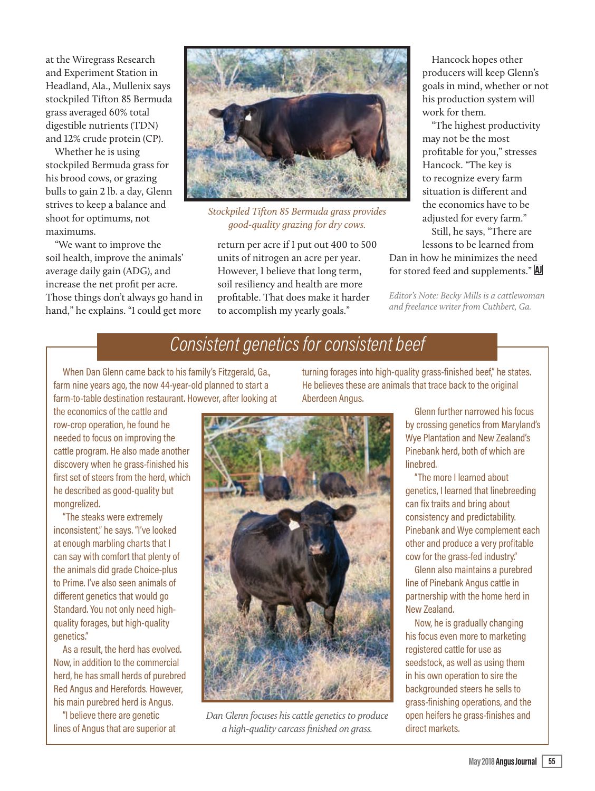at the Wiregrass Research and Experiment Station in Headland, Ala., Mullenix says stockpiled Tifton 85 Bermuda grass averaged 60% total digestible nutrients (TDN) and 12% crude protein (CP).

Whether he is using stockpiled Bermuda grass for his brood cows, or grazing bulls to gain 2 lb. a day, Glenn strives to keep a balance and shoot for optimums, not maximums.

"We want to improve the soil health, improve the animals' average daily gain (ADG), and increase the net profit per acre. Those things don't always go hand in hand," he explains. "I could get more



*Stockpiled Tifton 85 Bermuda grass provides good-quality grazing for dry cows.*

return per acre if I put out 400 to 500 units of nitrogen an acre per year. However, I believe that long term, soil resiliency and health are more profitable. That does make it harder to accomplish my yearly goals."

Hancock hopes other producers will keep Glenn's goals in mind, whether or not his production system will work for them.

"The highest productivity may not be the most profitable for you," stresses Hancock. "The key is to recognize every farm situation is different and the economics have to be adjusted for every farm."

Still, he says, "There are lessons to be learned from

Dan in how he minimizes the need for stored feed and supplements." A

*Editor's Note: Becky Mills is a cattlewoman and freelance writer from Cuthbert, Ga.* 

#### *Consistent genetics for consistent beef*

When Dan Glenn came back to his family's Fitzgerald, Ga., farm nine years ago, the now 44-year-old planned to start a farm-to-table destination restaurant. However, after looking at

the economics of the cattle and row-crop operation, he found he needed to focus on improving the cattle program. He also made another discovery when he grass-finished his first set of steers from the herd, which he described as good-quality but mongrelized.

"The steaks were extremely inconsistent," he says. "I've looked at enough marbling charts that I can say with comfort that plenty of the animals did grade Choice-plus to Prime. I've also seen animals of different genetics that would go Standard. You not only need highquality forages, but high-quality genetics."

As a result, the herd has evolved. Now, in addition to the commercial herd, he has small herds of purebred Red Angus and Herefords. However, his main purebred herd is Angus.

"I believe there are genetic lines of Angus that are superior at

turning forages into high-quality grass-finished beef," he states. He believes these are animals that trace back to the original Aberdeen Angus.

> Glenn further narrowed his focus by crossing genetics from Maryland's Wye Plantation and New Zealand's Pinebank herd, both of which are linebred.

> "The more I learned about genetics, I learned that linebreeding can fix traits and bring about consistency and predictability. Pinebank and Wye complement each other and produce a very profitable cow for the grass-fed industry."

Glenn also maintains a purebred line of Pinebank Angus cattle in partnership with the home herd in New Zealand.

Now, he is gradually changing his focus even more to marketing registered cattle for use as seedstock, as well as using them in his own operation to sire the backgrounded steers he sells to grass-finishing operations, and the open heifers he grass-finishes and direct markets.



*Dan Glenn focuses his cattle genetics to produce a high-quality carcass finished on grass.*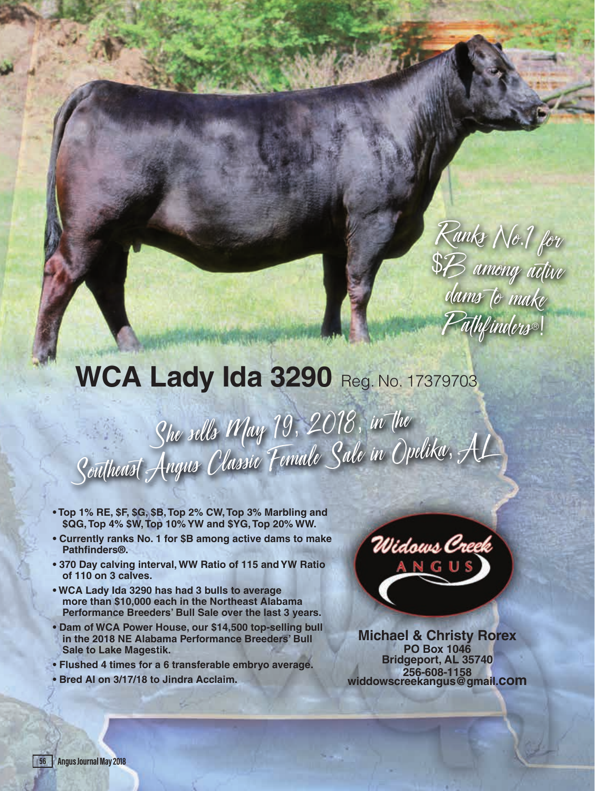## Ranks No.1 for \$B among active dams to make P<del>a</del>thfinders®!

### **WCA Lady Ida 3290 Reg. No. 17379703**

**Burneding of Marcon Plan Senior** 

She sells May 19, 2018, in the She suces in fuy<br>Southeast Angus Classic Female Sale in Opelika, AL

- **Top 1% RE, \$F, \$G, \$B, Top 2% CW, Top 3% Marbling and \$QG, Top 4% \$W, Top 10% YW and \$YG, Top 20% WW.**
- **Currently ranks No. 1 for \$B among active dams to make Pathfinders®.**
- **370 Day calving interval, WW Ratio of 115 and YW Ratio of 110 on 3 calves.**
- **WCA Lady Ida 3290 has had 3 bulls to average more than \$10,000 each in the Northeast Alabama Performance Breeders' Bull Sale over the last 3 years.**
- **Dam of WCA Power House, our \$14,500 top-selling bull in the 2018 NE Alabama Performance Breeders' Bull Sale to Lake Magestik.**
- **Flushed 4 times for a 6 transferable embryo average.**
- **Bred AI on 3/17/18 to Jindra Acclaim.**



**Michael & Christy Rorex PO Box 1046 Bridgeport, AL 35740 256-608-1158 widdowscreekangus@gmail.com**